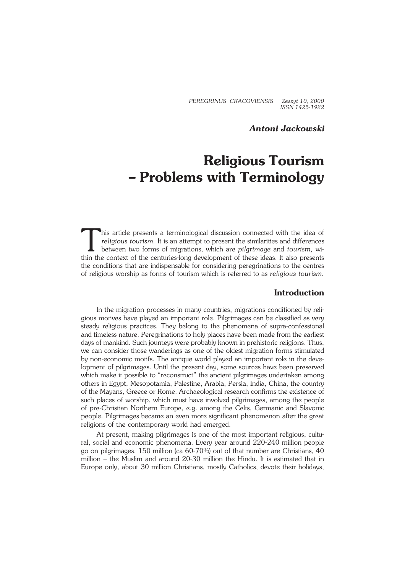*PEREGRINUS CRACOVIENSIS Zeszyt 10, 2000 ISSN 1425−1922*

### *Antoni Jackowski*

# **Religious Tourism – Problems with Terminology**

This article presents a terminological discussion connected with the idea of religious tourism. It is an attempt to present the similarities and differences between two forms of migrations, which are pilgrimage and tourism his article presents a terminological discussion connected with the idea of *religious tourism.* It is an attempt to present the similarities and differences between two forms of migrations, which are *pilgrimage* and *tourism,* wi− the conditions that are indispensable for considering peregrinations to the centres of religious worship as forms of tourism which is referred to as *religious tourism.*

#### **Introduction**

In the migration processes in many countries, migrations conditioned by reli− gious motives have played an important role. Pilgrimages can be classified as very steady religious practices. They belong to the phenomena of supra−confessional and timeless nature. Peregrinations to holy places have been made from the earliest days of mankind. Such journeys were probably known in prehistoric religions. Thus, we can consider those wanderings as one of the oldest migration forms stimulated by non−economic motifs. The antique world played an important role in the deve− lopment of pilgrimages. Until the present day, some sources have been preserved which make it possible to "reconstruct" the ancient pilgrimages undertaken among others in Egypt, Mesopotamia, Palestine, Arabia, Persia, India, China, the country of the Mayans, Greece or Rome. Archaeological research confirms the existence of such places of worship, which must have involved pilgrimages, among the people of pre−Christian Northern Europe, e.g. among the Celts, Germanic and Slavonic people. Pilgrimages became an even more significant phenomenon after the great religions of the contemporary world had emerged.

At present, making pilgrimages is one of the most important religious, cultu− ral, social and economic phenomena. Every year around 220−240 million people go on pilgrimages. 150 million (ca 60−70%) out of that number are Christians, 40 million – the Muslim and around 20−30 million the Hindu. It is estimated that in Europe only, about 30 million Christians, mostly Catholics, devote their holidays,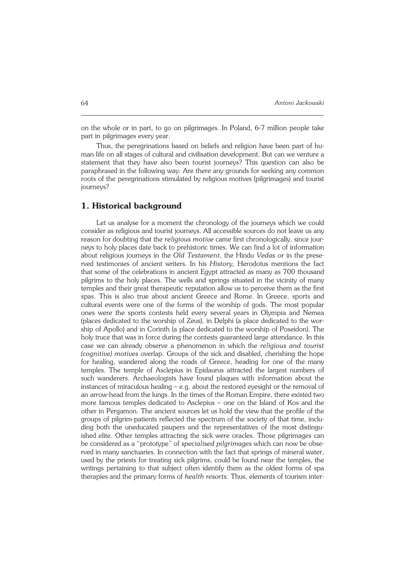on the whole or in part, to go on pilgrimages. In Poland, 6−7 million people take part in pilgrimages every year.

Thus, the peregrinations based on beliefs and religion have been part of hu− man life on all stages of cultural and civilisation development. But can we venture a statement that they have also been tourist journeys? This question can also be paraphrased in the following way: Are there any grounds for seeking any common roots of the peregrinations stimulated by religious motives (pilgrimages) and tourist journeys?

### **1. Historical background**

Let us analyse for a moment the chronology of the journeys which we could consider as religious and tourist journeys. All accessible sources do not leave us any reason for doubting that the *religious motive* came first chronologically, since jour− neys to holy places date back to prehistoric times. We can find a lot of information about religious journeys in the *Old Testament*, the Hindu *Vedas* or in the prese− rved testimonies of ancient writers. In his *History,* Herodotus mentions the fact that some of the celebrations in ancient Egypt attracted as many as 700 thousand pilgrims to the holy places. The wells and springs situated in the vicinity of many temples and their great therapeutic reputation allow us to perceive them as the first spas. This is also true about ancient Greece and Rome. In Greece, sports and cultural events were one of the forms of the worship of gods. The most popular ones were the sports contests held every several years in Olympia and Nemea (places dedicated to the worship of Zeus), in Delphi (a place dedicated to the wor− ship of Apollo) and in Corinth (a place dedicated to the worship of Poseidon). The holy truce that was in force during the contests guaranteed large attendance. In this case we can already observe a phenomenon in which the *religious and tourist (cognitive) motives* overlap. Groups of the sick and disabled, cherishing the hope for healing, wandered along the roads of Greece, heading for one of the many temples. The temple of Asclepius in Epidaurus attracted the largest numbers of such wanderers. Archaeologists have found plaques with information about the instances of miraculous healing – e.g. about the restored eyesight or the removal of an arrow−head from the lungs. In the times of the Roman Empire, there existed two more famous temples dedicated to Asclepius – one on the Island of Kos and the other in Pergamon. The ancient sources let us hold the view that the profile of the groups of pilgrim−patients reflected the spectrum of the society of that time, inclu− ding both the uneducated paupers and the representatives of the most distingu− ished elite. Other temples attracting the sick were oracles. Those pilgrimages can be considered as a "prototype" of *specialised pilgrimages* which can now be obse− rved in many sanctuaries. In connection with the fact that springs of mineral water, used by the priests for treating sick pilgrims, could be found near the temples, the writings pertaining to that subject often identify them as the oldest forms of spa therapies and the primary forms of *health resorts*. Thus, elements of tourism inter−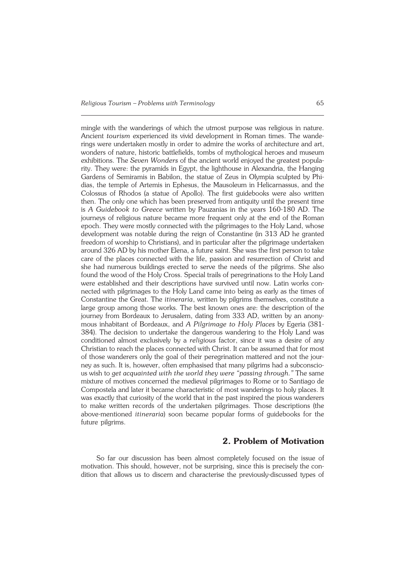mingle with the wanderings of which the utmost purpose was religious in nature. Ancient *tourism* experienced its vivid development in Roman times. The wande− rings were undertaken mostly in order to admire the works of architecture and art, wonders of nature, historic battlefields, tombs of mythological heroes and museum exhibitions. The *Seven Wonders* of the ancient world enjoyed the greatest popula− rity. They were: the pyramids in Egypt, the lighthouse in Alexandria, the Hanging Gardens of Semiramis in Babilon, the statue of Zeus in Olympia sculpted by Phi− dias, the temple of Artemis in Ephesus, the Mausoleum in Helicarnassus, and the Colossus of Rhodos (a statue of Apollo). The first guidebooks were also written then. The only one which has been preserved from antiquity until the present time is *A Guidebook to Greece* written by Pauzanias in the years 160−180 AD. The journeys of religious nature became more frequent only at the end of the Roman epoch. They were mostly connected with the pilgrimages to the Holy Land, whose development was notable during the reign of Constantine (in 313 AD he granted freedom of worship to Christians), and in particular after the pilgrimage undertaken around 326 AD by his mother Elena, a future saint. She was the first person to take care of the places connected with the life, passion and resurrection of Christ and she had numerous buildings erected to serve the needs of the pilgrims. She also found the wood of the Holy Cross. Special trails of peregrinations to the Holy Land were established and their descriptions have survived until now. Latin works con− nected with pilgrimages to the Holy Land came into being as early as the times of Constantine the Great. The *itineraria*, written by pilgrims themselves, constitute a large group among those works. The best known ones are: the description of the journey from Bordeaux to Jerusalem, dating from 333 AD, written by an anony− mous inhabitant of Bordeaux, and *A Pilgrimage to Holy Places* by Egeria (381− 384). The decision to undertake the dangerous wandering to the Holy Land was conditioned almost exclusively by a *religious* factor, since it was a desire of any Christian to reach the places connected with Christ. It can be assumed that for most of those wanderers only the goal of their peregrination mattered and not the jour− ney as such. It is, however, often emphasised that many pilgrims had a subconscio− us wish to *get acquainted with the world they were "passing through."* The same mixture of motives concerned the medieval pilgrimages to Rome or to Santiago de Compostela and later it became characteristic of most wanderings to holy places. It was exactly that curiosity of the world that in the past inspired the pious wanderers to make written records of the undertaken pilgrimages. Those descriptions (the above−mentioned *itineraria*) soon became popular forms of guidebooks for the future pilgrims.

#### **2. Problem of Motivation**

So far our discussion has been almost completely focused on the issue of motivation. This should, however, not be surprising, since this is precisely the con− dition that allows us to discern and characterise the previously−discussed types of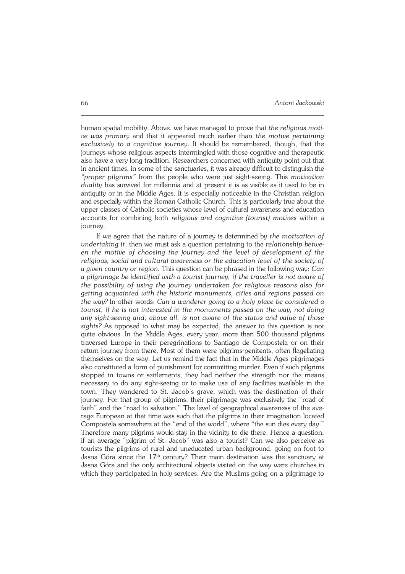human spatial mobility. Above, we have managed to prove that *the religious moti− ve was primary* and that it appeared much earlier than *the motive pertaining exclusively to a cognitive journey*. It should be remembered, though, that the journeys whose religious aspects intermingled with those cognitive and therapeutic also have a very long tradition. Researchers concerned with antiquity point out that in ancient times, in some of the sanctuaries, it was already difficult to distinguish the *"proper pilgrims"* from the people who were just sight−seeing. This *motivation duality* has survived for millennia and at present it is as visible as it used to be in antiquity or in the Middle Ages. It is especially noticeable in the Christian religion and especially within the Roman Catholic Church. This is particularly true about the upper classes of Catholic societies whose level of cultural awareness and education accounts for combining both *religious and cognitive (tourist) motives* within a journey*.*

If we agree that the nature of a journey is determined by *the motivation of undertaking it*, then we must ask a question pertaining to the *relationship betwe− en the motive of choosing the journey and the level of development of the religious, social and cultural awareness or the education level of the society of a given country or region.* This question can be phrased in the following way: *Can a pilgrimage be identified with a tourist journey, if the traveller is not aware of the possibility of using the journey undertaken for religious reasons also for getting acquainted with the historic monuments, cities and regions passed on the way?* In other words: *Can a wanderer going to a holy place be considered a tourist, if he is not interested in the monuments passed on the way, not doing any sight−seeing and, above all, is not aware of the status and value of those sights?* As opposed to what may be expected, the answer to this question is not quite obvious. In the Middle Ages, every year, more than 500 thousand pilgrims traversed Europe in their peregrinations to Santiago de Compostela or on their return journey from there. Most of them were pilgrims−penitents, often flagellating themselves on the way. Let us remind the fact that in the Middle Ages pilgrimages also constituted a form of punishment for committing murder. Even if such pilgrims stopped in towns or settlements, they had neither the strength nor the means necessary to do any sight−seeing or to make use of any facilities available in the town. They wandered to St. Jacob's grave, which was the destination of their journey. For that group of pilgrims, their pilgrimage was exclusively the "road of faith" and the "road to salvation." The level of geographical awareness of the ave− rage European at that time was such that the pilgrims in their imagination located Compostela somewhere at the "end of the world", where "the sun dies every day." Therefore many pilgrims would stay in the vicinity to die there. Hence a question, if an average "pilgrim of St. Jacob" was also a tourist? Can we also perceive as tourists the pilgrims of rural and uneducated urban background, going on foot to Jasna Góra since the  $17<sup>th</sup>$  century? Their main destination was the sanctuary at Jasna Góra and the only architectural objects visited on the way were churches in which they participated in holy services. Are the Muslims going on a pilgrimage to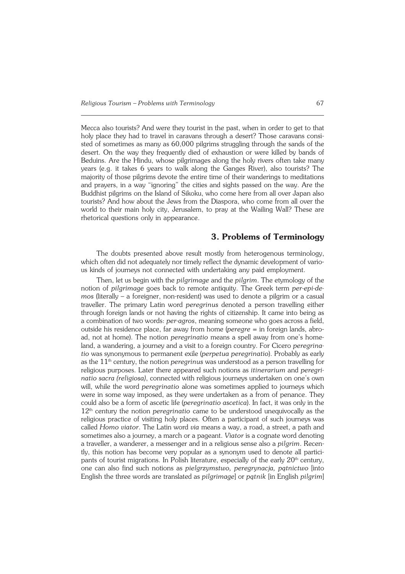Mecca also tourists? And were they tourist in the past, when in order to get to that holy place they had to travel in caravans through a desert? Those caravans consi− sted of sometimes as many as 60,000 pilgrims struggling through the sands of the desert. On the way they frequently died of exhaustion or were killed by bands of Beduins. Are the Hindu, whose pilgrimages along the holy rivers often take many years (e.g. it takes 6 years to walk along the Ganges River), also tourists? The majority of those pilgrims devote the entire time of their wanderings to meditations and prayers, in a way "ignoring" the cities and sights passed on the way. Are the Buddhist pilgrims on the Island of Sikoku, who come here from all over Japan also tourists? And how about the Jews from the Diaspora, who come from all over the world to their main holy city, Jerusalem, to pray at the Wailing Wall? These are rhetorical questions only in appearance.

#### **3. Problems of Terminology**

The doubts presented above result mostly from heterogenous terminology, which often did not adequately nor timely reflect the dynamic development of vario− us kinds of journeys not connected with undertaking any paid employment.

Then, let us begin with the *pilgrimage* and the *pilgrim*. The etymology of the notion of *pilgrimage* goes back to remote antiquity. The Greek term *per−epi−de− mos* (literally – a foreigner, non−resident) was used to denote a pilgrim or a casual traveller. The primary Latin word *peregrinus* denoted a person travelling either through foreign lands or not having the rights of citizenship. It came into being as a combination of two words: *per−agros*, meaning someone who goes across a field, outside his residence place, far away from home (*peregre =* in foreign lands, abro− ad, not at home). The notion *peregrinatio* means a spell away from one's home− land, a wandering, a journey and a visit to a foreign country. For Cicero *peregrina− tio* was synonymous to permanent exile (*perpetua peregrinatio*). Probably as early as the 11th century, the notion *peregrinus* was understood as a person travelling for religious purposes. Later there appeared such notions as *itinerarium* and *peregri− natio sacra (religiosa)*, connected with religious journeys undertaken on one's own will, while the word *peregrinatio* alone was sometimes applied to journeys which were in some way imposed, as they were undertaken as a from of penance. They could also be a form of ascetic life (*peregrinatio ascetica*). In fact, it was only in the 12th century the notion *peregrinatio* came to be understood unequivocally as the religious practice of visiting holy places. Often a participant of such journeys was called *Homo viator*. The Latin word *via* means a way, a road, a street, a path and sometimes also a journey, a march or a pageant. *Viator* is a cognate word denoting a traveller, a wanderer, a messenger and in a religious sense also a *pilgrim*. Recen− tly, this notion has become very popular as a synonym used to denote all partici− pants of tourist migrations. In Polish literature, especially of the early  $20<sup>th</sup>$  century, one can also find such notions as *pielgrzymstwo, peregrynacja, pątnictwo* [into English the three words are translated as *pilgrimage*] or *pątnik* [in English *pilgrim*]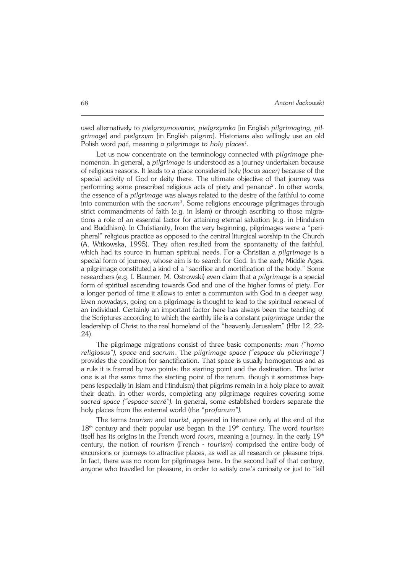used alternatively to *pielgrzymowanie, pielgrzymka* [in English *pilgrimaging, pil− grimage*] and *pielgrzym* [in English *pilgrim*]. Historians also willingly use an old Polish word *pąć*, meaning *a pilgrimage to holy places<sup>1</sup> .*

Let us now concentrate on the terminology connected with *pilgrimage* phe− nomenon. In general, a *pilgrimage* is understood as a journey undertaken because of religious reasons. It leads to a place considered holy (*locus sacer)* because of the special activity of God or deity there. The ultimate objective of that journey was performing some prescribed religious acts of piety and penance<sup>2</sup>. In other words, the essence of a *pilgrimage* was always related to the desire of the faithful to come into communion with the *sacrum<sup>3</sup>* . Some religions encourage pilgrimages through strict commandments of faith (e.g. in Islam) or through ascribing to those migrations a role of an essential factor for attaining eternal salvation (e.g. in Hinduism and Buddhism). In Christianity, from the very beginning, pilgrimages were a "peri− pheral" religious practice as opposed to the central liturgical worship in the Church (A. Witkowska, 1995). They often resulted from the spontaneity of the faithful, which had its source in human spiritual needs. For a Christian a *pilgrimage* is a special form of journey, whose aim is to search for God. In the early Middle Ages, a pilgrimage constituted a kind of a "sacrifice and mortification of the body." Some researchers (e.g. I. Baumer, M. Ostrowski) even claim that a *pilgrimage* is a special form of spiritual ascending towards God and one of the higher forms of piety. For a longer period of time it allows to enter a communion with God in a deeper way. Even nowadays, going on a pilgrimage is thought to lead to the spiritual renewal of an individual. Certainly an important factor here has always been the teaching of the Scriptures according to which the earthly life is a constant *pilgrimage* under the leadership of Christ to the real homeland of the "heavenly Jerusalem" (Hbr 12, 22− 24).

The pilgrimage migrations consist of three basic components: *man ("homo religiosus"), space* and *sacrum*. The *pilgrimage space ("espace du p*č*lerinage")* provides the condition for sanctification. That space is usually homogenous and as a rule it is framed by two points: the starting point and the destination. The latter one is at the same time the starting point of the return, though it sometimes hap− pens (especially in Islam and Hinduism) that pilgrims remain in a holy place to await their death. In other words, completing any pilgrimage requires covering some *sacred space ("espace sacr*é*").* In general, some established borders separate the holy places from the external world (the "*profanum").*

The terms *tourism* and *tourist*¸ appeared in literature only at the end of the 18th century and their popular use began in the 19th century. The word *tourism* itself has its origins in the French word *tours*, meaning a journey. In the early 19th century, the notion of *tourism* (French − *tourism*) comprised the entire body of excursions or journeys to attractive places, as well as all research or pleasure trips. In fact, there was no room for pilgrimages here. In the second half of that century, anyone who travelled for pleasure, in order to satisfy one's curiosity or just to "kill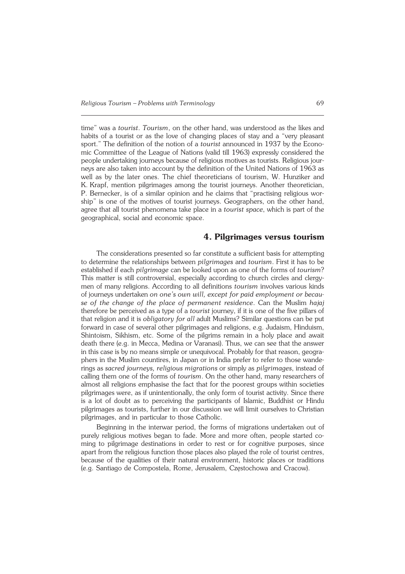time" was a *tourist*. *Tourism*, on the other hand, was understood as the likes and habits of a tourist or as the love of changing places of stay and a "very pleasant sport." The definition of the notion of a *tourist* announced in 1937 by the Econo− mic Committee of the League of Nations (valid till 1963) expressly considered the people undertaking journeys because of religious motives as tourists. Religious jour− neys are also taken into account by the definition of the United Nations of 1963 as well as by the later ones. The chief theoreticians of tourism, W. Hunziker and K.Krapf, mention pilgrimages among the tourist journeys. Another theoretician, P. Bernecker, is of a similar opinion and he claims that "practising religious wor− ship" is one of the motives of tourist journeys. Geographers, on the other hand, agree that all tourist phenomena take place in a *tourist space*, which is part of the geographical, social and economic space.

#### **4. Pilgrimages versus tourism**

The considerations presented so far constitute a sufficient basis for attempting to determine the relationships between *pilgrimages* and *tourism*. First it has to be established if each *pilgrimage* can be looked upon as one of the forms of *tourism*? This matter is still controversial, especially according to church circles and clergy− men of many religions. According to all definitions *tourism* involves various kinds of journeys undertaken *on one's own will, except for paid employment or becau− se of the change of the place of permanent residence*. Can the Muslim *hajaj* therefore be perceived as a type of a *tourist* journey, if it is one of the five pillars of that religion and it is *obligatory for all* adult Muslims? Similar questions can be put forward in case of several other pilgrimages and religions, e.g. Judaism, Hinduism, Shintoism, Sikhism, etc. Some of the pilgrims remain in a holy place and await death there (e.g. in Mecca, Medina or Varanasi). Thus, we can see that the answer in this case is by no means simple or unequivocal. Probably for that reason, geogra− phers in the Muslim countires, in Japan or in India prefer to refer to those wanderings as *sacred journeys, religious migrations* or simply as *pilgrimages*, instead of calling them one of the forms of *tourism*. On the other hand, many researchers of almost all religions emphasise the fact that for the poorest groups within societies pilgrimages were, as if unintentionally, the only form of tourist activity. Since there is a lot of doubt as to perceiving the participants of Islamic, Buddhist or Hindu pilgrimages as tourists, further in our discussion we will limit ourselves to Christian pilgrimages, and in particular to those Catholic.

Beginning in the interwar period, the forms of migrations undertaken out of purely religious motives began to fade. More and more often, people started co− ming to pilgrimage destinations in order to rest or for cognitive purposes, since apart from the religious function those places also played the role of tourist centres, because of the qualities of their natural environment, historic places or traditions (e.g. Santiago de Compostela, Rome, Jerusalem, Częstochowa and Cracow).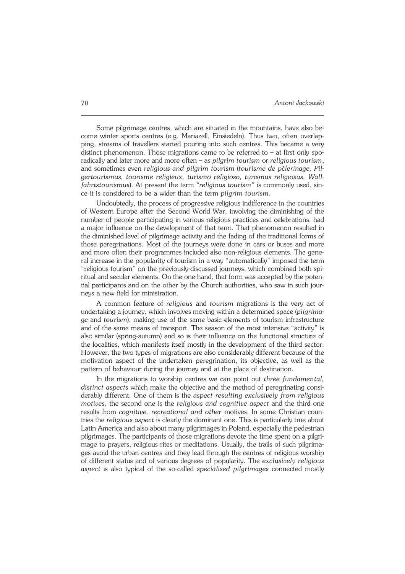Some pilgrimage centres, which are situated in the mountains, have also be− come winter sports centres (e.g. Mariazell, Einsiedeln). Thus two, often overlap− ping, streams of travellers started pouring into such centres. This became a very distinct phenomenon. Those migrations came to be referred to – at first only spo− radically and later more and more often – as *pilgrim tourism* or *religious tourism*, and sometimes even *religious and pilgrim tourism* (*tourisme de p*č*lerinage, Pil− gertourismus, tourisme religieux, turismo religioso, turismus religiosus, Wall− fahrtstourismus*). At present the term *"religious tourism"* is commonly used, sin− ce it is considered to be a wider than the term *pilgrim tourism*.

Undoubtedly, the process of progressive religious indifference in the countries of Western Europe after the Second World War, involving the diminishing of the number of people participating in various religious practices and celebrations, had a major influence on the development of that term. That phenomenon resulted in the diminished level of pilgrimage activity and the fading of the traditional forms of those peregrinations. Most of the journeys were done in cars or buses and more and more often their programmes included also non−religious elements. The gene− ral increase in the popularity of tourism in a way "automatically" imposed the term "religious tourism" on the previously−discussed journeys, which combined both spi− ritual and secular elements. On the one hand, that form was accepted by the poten− tial participants and on the other by the Church authorities, who saw in such jour− neys a new field for ministration.

A common feature of *religious* and *tourism* migrations is the very act of undertaking a journey, which involves moving within a determined space (*pilgrima− ge* and *tourism*), making use of the same basic elements of tourism infrastructure and of the same means of transport. The season of the most intensive "activity" is also similar (spring−autumn) and so is their influence on the functional structure of the localities, which manifests itself mostly in the development of the third sector. However, the two types of migrations are also considerably different because of the motivation aspect of the undertaken peregrination, its objective, as well as the pattern of behaviour during the journey and at the place of destination.

In the migrations to worship centres we can point out *three fundamental, distinct aspects* which make the objective and the method of peregrinating consi− derably different. One of them is the *aspect resulting exclusively from religious motives*, the second one is the *religious and cognitive aspect* and the third one results from *cognitive, recreational and other* motives. In some Christian coun− tries the *religious aspect* is clearly the dominant one. This is particularly true about Latin America and also about many pilgrimages in Poland, especially the pedestrian pilgrimages. The participants of those migrations devote the time spent on a pilgri− mage to prayers, religious rites or meditations. Usually, the trails of such pilgrima− ges avoid the urban centres and they lead through the centres of religious worship of different status and of various degrees of popularity. The *exclusively religious aspect* is also typical of the so−called *specialised pilgrimages* connected mostly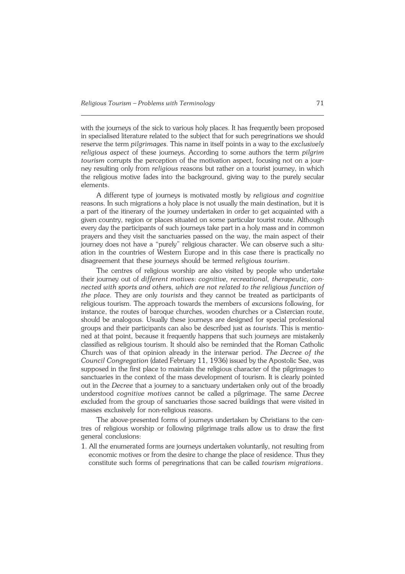with the journeys of the sick to various holy places. It has frequently been proposed in specialised literature related to the subject that for such peregrinations we should reserve the term *pilgrimages*. This name in itself points in a way to the *exclusively religious aspect* of these journeys. According to some authors the term *pilgrim tourism* corrupts the perception of the motivation aspect, focusing not on a jour− ney resulting only from *religious* reasons but rather on a tourist journey, in which the religious motive fades into the background, giving way to the purely secular elements.

A different type of journeys is motivated mostly by *religious and cognitive* reasons. In such migrations a holy place is not usually the main destination, but it is a part of the itinerary of the journey undertaken in order to get acquainted with a given country, region or places situated on some particular tourist route. Although every day the participants of such journeys take part in a holy mass and in common prayers and they visit the sanctuaries passed on the way, the main aspect of their journey does not have a "purely" religious character. We can observe such a situ− ation in the countries of Western Europe and in this case there is practically no disagreement that these journeys should be termed *religious tourism*.

The centres of religious worship are also visited by people who undertake their journey out of *different motives*: *cognitive, recreational, therapeutic, con− nected with sports and others, which are not related to the religious function of the place.* They are only *tourists* and they cannot be treated as participants of religious tourism. The approach towards the members of excursions following, for instance, the routes of baroque churches, wooden churches or a Cistercian route, should be analogous. Usually these journeys are designed for special professional groups and their participants can also be described just as *tourists*. This is mentio− ned at that point, because it frequently happens that such journeys are mistakenly classified as religious tourism. It should also be reminded that the Roman Catholic Church was of that opinion already in the interwar period. *The Decree of the Council Congregation* (dated February 11, 1936) issued by the Apostolic See, was supposed in the first place to maintain the religious character of the pilgrimages to sanctuaries in the context of the mass development of tourism. It is clearly pointed out in the *Decree* that a journey to a sanctuary undertaken only out of the broadly understood *cognitive motives* cannot be called a pilgrimage. The same *Decree* excluded from the group of sanctuaries those sacred buildings that were visited in masses exclusively for non−religious reasons.

The above−presented forms of journeys undertaken by Christians to the cen− tres of religious worship or following pilgrimage trails allow us to draw the first general conclusions:

1. All the enumerated forms are journeys undertaken voluntarily, not resulting from economic motives or from the desire to change the place of residence. Thus they constitute such forms of peregrinations that can be called *tourism migrations*.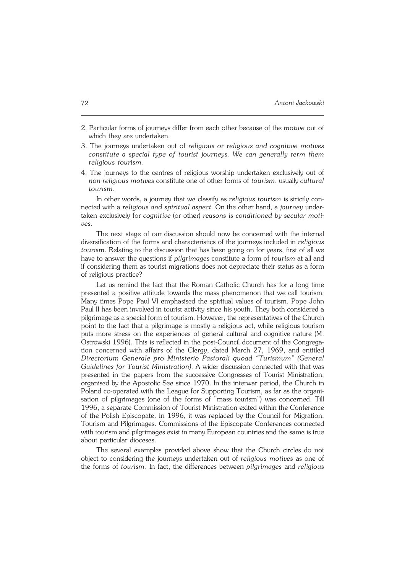- 2. Particular forms of journeys differ from each other because of the *motive* out of which they are undertaken.
- 3. The journeys undertaken out of *religious or religious and cognitive motives constitute a special type of tourist journeys. We can generally term them religious tourism.*
- 4. The journeys to the centres of religious worship undertaken exclusively out of *non−religious motives* constitute one of other forms of *tourism*, usually *cultural tourism*.

In other words, a journey that we classify as *religious tourism* is strictly con− nected with a *religious and spiritual aspect.* On the other hand, a *journey* under− taken exclusively for *cognitive* (or other) *reasons is conditioned by secular moti− ves.*

The next stage of our discussion should now be concerned with the internal diversification of the forms and characteristics of the journeys included in *religious tourism.* Relating to the discussion that has been going on for years, first of all we have to answer the questions if *pilgrimages* constitute a form of *tourism* at all and if considering them as tourist migrations does not depreciate their status as a form of religious practice?

Let us remind the fact that the Roman Catholic Church has for a long time presented a positive attitude towards the mass phenomenon that we call tourism. Many times Pope Paul VI emphasised the spiritual values of tourism. Pope John Paul II has been involved in tourist activity since his youth. They both considered a pilgrimage as a special form of tourism. However, the representatives of the Church point to the fact that a pilgrimage is mostly a religious act, while religious tourism puts more stress on the experiences of general cultural and cognitive nature (M. Ostrowski 1996). This is reflected in the post−Council document of the Congrega− tion concerned with affairs of the Clergy, dated March 27, 1969, and entitled *Directorium Generale pro Ministerio Pastorali quoad "Turismum" (General Guidelines for Tourist Ministration)*. A wider discussion connected with that was presented in the papers from the successive Congresses of Tourist Ministration, organised by the Apostolic See since 1970. In the interwar period, the Church in Poland co-operated with the League for Supporting Tourism, as far as the organisation of pilgrimages (one of the forms of "mass tourism") was concerned. Till 1996, a separate Commission of Tourist Ministration exited within the Conference of the Polish Episcopate. In 1996, it was replaced by the Council for Migration, Tourism and Pilgrimages. Commissions of the Episcopate Conferences connected with tourism and pilgrimages exist in many European countries and the same is true about particular dioceses.

The several examples provided above show that the Church circles do not object to considering the journeys undertaken out of *religious motives* as one of the forms of *tourism.* In fact, the differences between *pilgrimages* and *religious*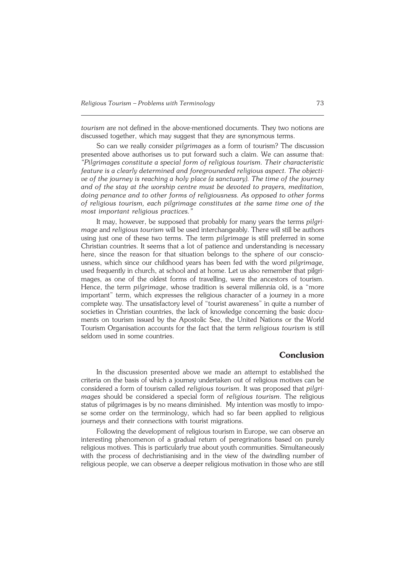*tourism* are not defined in the above−mentioned documents. They two notions are discussed together, which may suggest that they are synonymous terms.

So can we really consider *pilgrimages* as a form of tourism? The discussion presented above authorises us to put forward such a claim. We can assume that: *"Pilgrimages constitute a special form of religious tourism. Their characteristic feature is a clearly determined and foregrouneded religious aspect. The objecti− ve of the journey is reaching a holy place (a sanctuary). The time of the journey and of the stay at the worship centre must be devoted to prayers, meditation, doing penance and to other forms of religiousness. As opposed to other forms of religious tourism, each pilgrimage constitutes at the same time one of the most important religious practices."*

It may, however, be supposed that probably for many years the terms *pilgri− mage* and *religious tourism* will be used interchangeably. There will still be authors using just one of these two terms. The term *pilgrimage* is still preferred in some Christian countries. It seems that a lot of patience and understanding is necessary here, since the reason for that situation belongs to the sphere of our consciousness, which since our childhood years has been fed with the word *pilgrimage,* used frequently in church, at school and at home. Let us also remember that pilgri− mages, as one of the oldest forms of travelling, were the ancestors of tourism. Hence, the term *pilgrimage*, whose tradition is several millennia old, is a "more important" term, which expresses the religious character of a journey in a more complete way. The unsatisfactory level of "tourist awareness" in quite a number of societies in Christian countries, the lack of knowledge concerning the basic docu− ments on tourism issued by the Apostolic See, the United Nations or the World Tourism Organisation accounts for the fact that the term *religious tourism* is still seldom used in some countries.

## **Conclusion**

In the discussion presented above we made an attempt to established the criteria on the basis of which a journey undertaken out of religious motives can be considered a form of tourism called *religious tourism.* It was proposed that *pilgri− mages* should be considered a special form of *religious tourism.* The religious status of pilgrimages is by no means diminished. My intention was mostly to impo− se some order on the terminology, which had so far been applied to religious journeys and their connections with tourist migrations.

Following the development of religious tourism in Europe, we can observe an interesting phenomenon of a gradual return of peregrinations based on purely religious motives. This is particularly true about youth communities. Simultaneously with the process of dechristianising and in the view of the dwindling number of religious people, we can observe a deeper religious motivation in those who are still